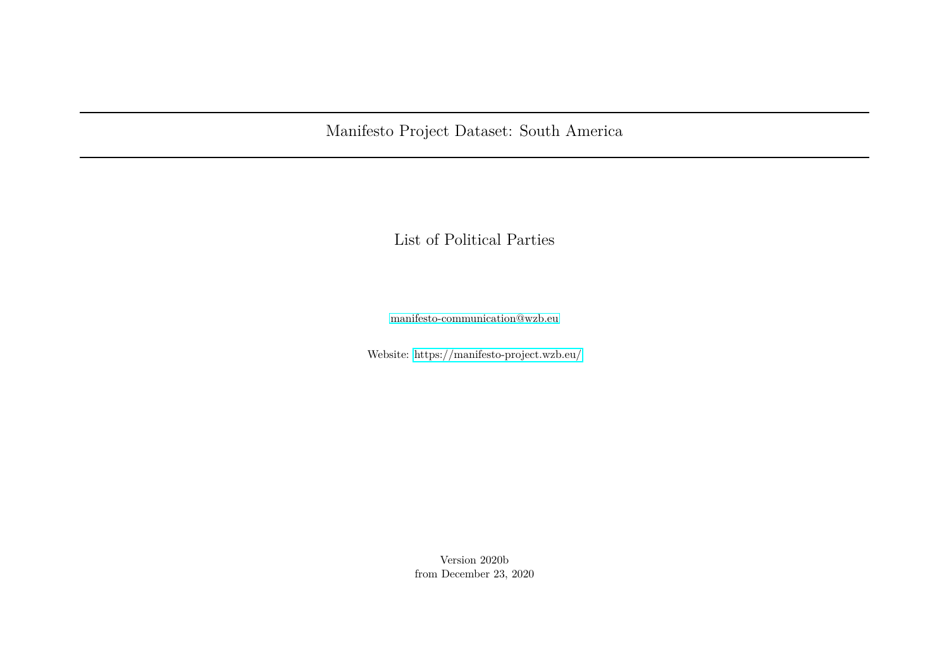Manifesto Project Dataset: South America

List of Political Parties

[manifesto-communication@wzb.eu](mailto:manifesto-communication@wzb.eu)

Website:<https://manifesto-project.wzb.eu/>

Version 2020b from December 23, 2020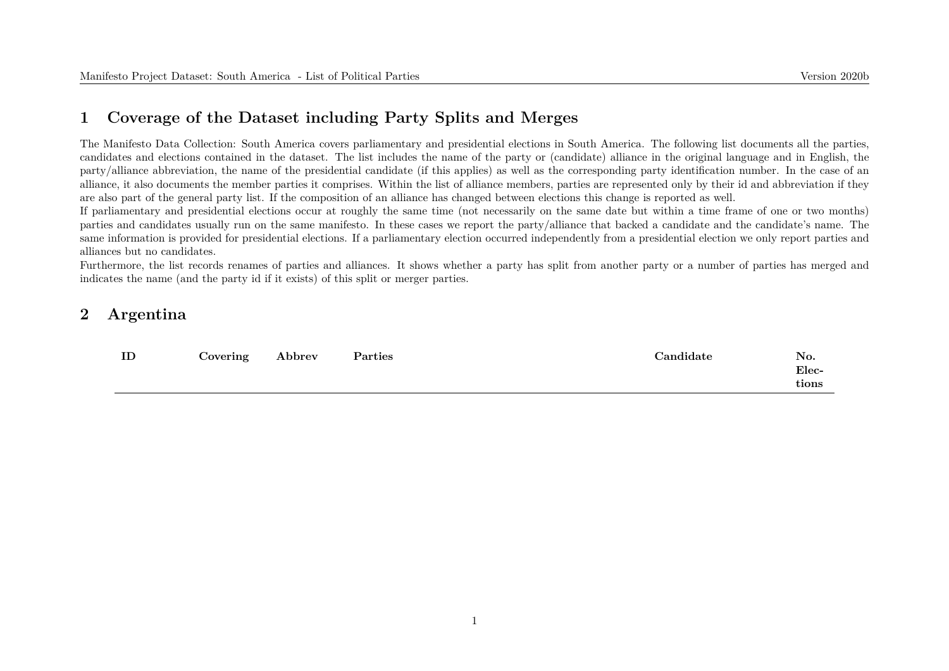#### **1 Coverage of the Dataset including Party Splits and Merges**

The Manifesto Data Collection: South America covers parliamentary and presidential elections in South America. The following list documents all the parties, candidates and elections contained in the dataset. The list includes the name of the party or (candidate) alliance in the original language and in English, the party/alliance abbreviation, the name of the presidential candidate (if this applies) as well as the corresponding party identification number. In the case of an alliance, it also documents the member parties it comprises. Within the list of alliance members, parties are represented only by their id and abbreviation if they are also part of the general party list. If the composition of an alliance has changed between elections this change is reported as well.

If parliamentary and presidential elections occur at roughly the same time (not necessarily on the same date but within a time frame of one or two months) parties and candidates usually run on the same manifesto. In these cases we report the party/alliance that backed a candidate and the candidate's name. The same information is provided for presidential elections. If a parliamentary election occurred independently from a presidential election we only report parties and alliances but no candidates.

Furthermore, the list records renames of parties and alliances. It shows whether a party has split from another party or a number of parties has merged and indicates the name (and the party id if it exists) of this split or merger parties.

#### **2 Argentina**

| ŢΠ | Covering | bbrev | Parties | andidate: | No.<br>Elec-<br>${\rm\bf tions}$ |
|----|----------|-------|---------|-----------|----------------------------------|
|    |          |       |         |           |                                  |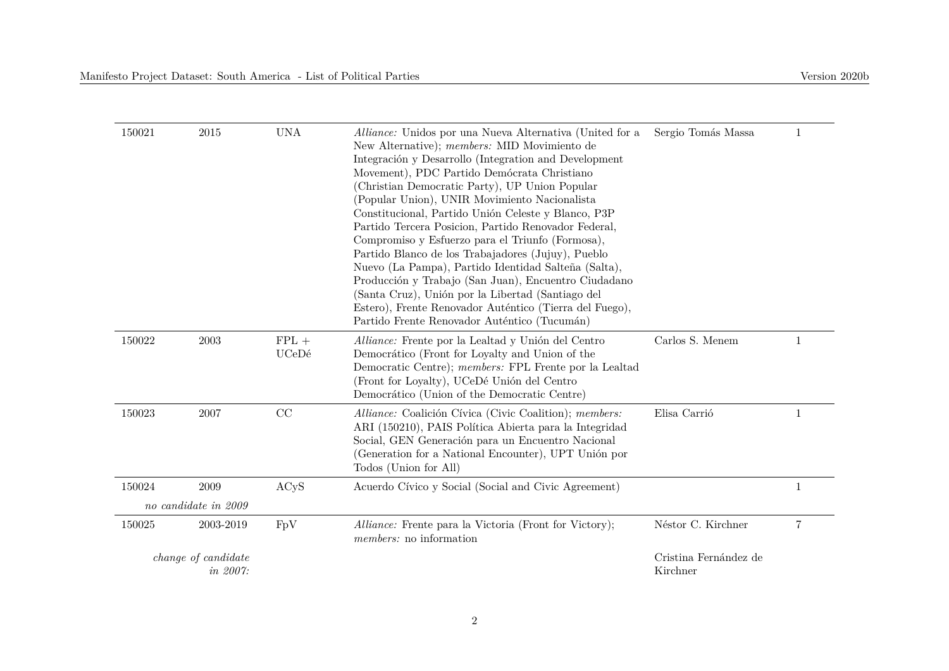| 150021 | 2015                 | <b>UNA</b> | Alliance: Unidos por una Nueva Alternativa (United for a                                                   | Sergio Tomás Massa    | $\mathbf 1$    |
|--------|----------------------|------------|------------------------------------------------------------------------------------------------------------|-----------------------|----------------|
|        |                      |            | New Alternative); <i>members:</i> MID Movimiento de                                                        |                       |                |
|        |                      |            | Integración y Desarrollo (Integration and Development                                                      |                       |                |
|        |                      |            | Movement), PDC Partido Demócrata Christiano                                                                |                       |                |
|        |                      |            | (Christian Democratic Party), UP Union Popular                                                             |                       |                |
|        |                      |            | (Popular Union), UNIR Movimiento Nacionalista                                                              |                       |                |
|        |                      |            | Constitucional, Partido Unión Celeste y Blanco, P3P                                                        |                       |                |
|        |                      |            | Partido Tercera Posicion, Partido Renovador Federal,                                                       |                       |                |
|        |                      |            | Compromiso y Esfuerzo para el Triunfo (Formosa),                                                           |                       |                |
|        |                      |            | Partido Blanco de los Trabajadores (Jujuy), Pueblo<br>Nuevo (La Pampa), Partido Identidad Salteña (Salta), |                       |                |
|        |                      |            | Producción y Trabajo (San Juan), Encuentro Ciudadano                                                       |                       |                |
|        |                      |            | (Santa Cruz), Unión por la Libertad (Santiago del                                                          |                       |                |
|        |                      |            | Estero), Frente Renovador Auténtico (Tierra del Fuego),                                                    |                       |                |
|        |                      |            | Partido Frente Renovador Auténtico (Tucumán)                                                               |                       |                |
| 150022 | 2003                 | $FPL +$    | Alliance: Frente por la Lealtad y Unión del Centro                                                         | Carlos S. Menem       | 1              |
|        |                      | UCeDé      | Democrático (Front for Loyalty and Union of the                                                            |                       |                |
|        |                      |            | Democratic Centre); members: FPL Frente por la Lealtad                                                     |                       |                |
|        |                      |            | (Front for Loyalty), UCeDé Unión del Centro                                                                |                       |                |
|        |                      |            | Democrático (Union of the Democratic Centre)                                                               |                       |                |
| 150023 | 2007                 | CC         | Alliance: Coalición Cívica (Civic Coalition); members:                                                     | Elisa Carrió          | $\mathbf{1}$   |
|        |                      |            | ARI (150210), PAIS Política Abierta para la Integridad                                                     |                       |                |
|        |                      |            | Social, GEN Generación para un Encuentro Nacional<br>(Generation for a National Encounter), UPT Unión por  |                       |                |
|        |                      |            | Todos (Union for All)                                                                                      |                       |                |
| 150024 | 2009                 | ACyS       | Acuerdo Cívico y Social (Social and Civic Agreement)                                                       |                       | $\mathbf{1}$   |
|        | no candidate in 2009 |            |                                                                                                            |                       |                |
| 150025 | 2003-2019            | FpV        | Alliance: Frente para la Victoria (Front for Victory);                                                     | Néstor C. Kirchner    | $\overline{7}$ |
|        |                      |            | <i>members:</i> no information                                                                             |                       |                |
|        | change of candidate  |            |                                                                                                            | Cristina Fernández de |                |
|        | in 2007:             |            |                                                                                                            | Kirchner              |                |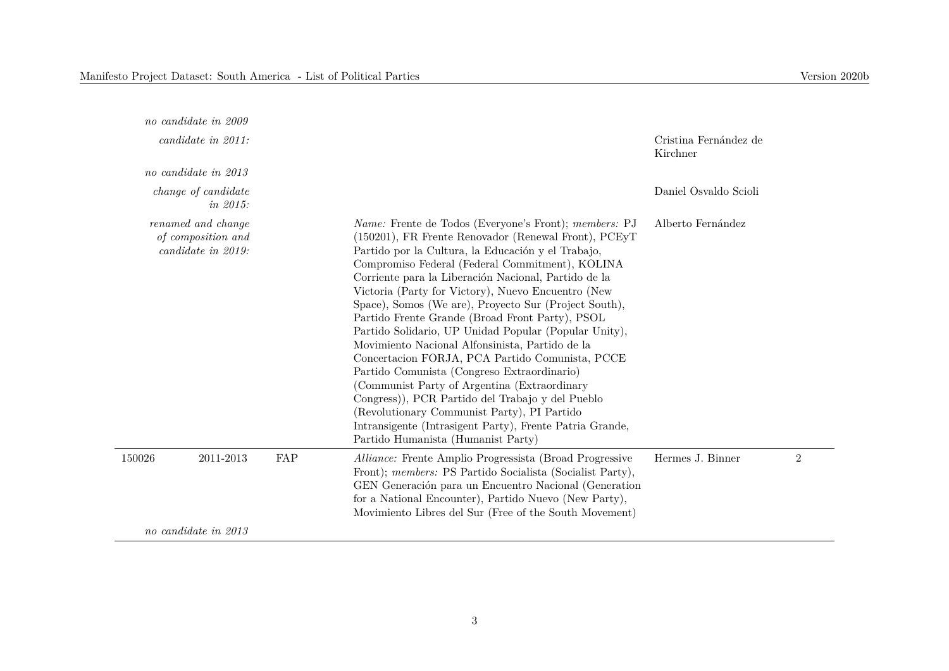|        | no candidate in 2009                                           |     |                                                                                                                                                                                                                                                                                                                                                                                                                                                                                                                                                                                                                                                                                                                                                                                                                                                                                                                     |                                   |                |
|--------|----------------------------------------------------------------|-----|---------------------------------------------------------------------------------------------------------------------------------------------------------------------------------------------------------------------------------------------------------------------------------------------------------------------------------------------------------------------------------------------------------------------------------------------------------------------------------------------------------------------------------------------------------------------------------------------------------------------------------------------------------------------------------------------------------------------------------------------------------------------------------------------------------------------------------------------------------------------------------------------------------------------|-----------------------------------|----------------|
|        | candidate in 2011:                                             |     |                                                                                                                                                                                                                                                                                                                                                                                                                                                                                                                                                                                                                                                                                                                                                                                                                                                                                                                     | Cristina Fernández de<br>Kirchner |                |
|        | no candidate in 2013                                           |     |                                                                                                                                                                                                                                                                                                                                                                                                                                                                                                                                                                                                                                                                                                                                                                                                                                                                                                                     |                                   |                |
|        | change of candidate<br>in 2015:                                |     |                                                                                                                                                                                                                                                                                                                                                                                                                                                                                                                                                                                                                                                                                                                                                                                                                                                                                                                     | Daniel Osvaldo Scioli             |                |
|        | renamed and change<br>of composition and<br>candidate in 2019: |     | Name: Frente de Todos (Everyone's Front); members: PJ<br>(150201), FR Frente Renovador (Renewal Front), PCEyT<br>Partido por la Cultura, la Educación y el Trabajo,<br>Compromiso Federal (Federal Commitment), KOLINA<br>Corriente para la Liberación Nacional, Partido de la<br>Victoria (Party for Victory), Nuevo Encuentro (New<br>Space), Somos (We are), Proyecto Sur (Project South),<br>Partido Frente Grande (Broad Front Party), PSOL<br>Partido Solidario, UP Unidad Popular (Popular Unity),<br>Movimiento Nacional Alfonsinista, Partido de la<br>Concertacion FORJA, PCA Partido Comunista, PCCE<br>Partido Comunista (Congreso Extraordinario)<br>(Communist Party of Argentina (Extraordinary<br>Congress)), PCR Partido del Trabajo y del Pueblo<br>(Revolutionary Communist Party), PI Partido<br>Intransigente (Intrasigent Party), Frente Patria Grande,<br>Partido Humanista (Humanist Party) | Alberto Fernández                 |                |
| 150026 | 2011-2013                                                      | FAP | <i>Alliance:</i> Frente Amplio Progressista (Broad Progressive<br>Front); members: PS Partido Socialista (Socialist Party),<br>GEN Generación para un Encuentro Nacional (Generation<br>for a National Encounter), Partido Nuevo (New Party),<br>Movimiento Libres del Sur (Free of the South Movement)                                                                                                                                                                                                                                                                                                                                                                                                                                                                                                                                                                                                             | Hermes J. Binner                  | $\overline{2}$ |
|        | no candidate in 2013                                           |     |                                                                                                                                                                                                                                                                                                                                                                                                                                                                                                                                                                                                                                                                                                                                                                                                                                                                                                                     |                                   |                |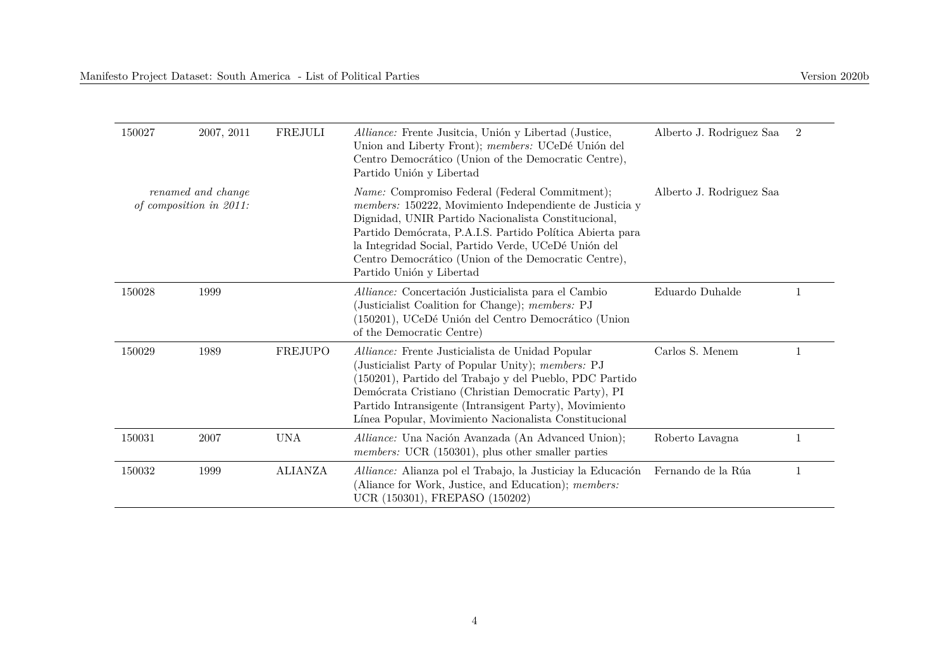| 150027                                        | 2007, 2011 | FREJULI        | Alliance: Frente Jusitcia, Unión y Libertad (Justice,<br>Union and Liberty Front); members: UCeDé Unión del<br>Centro Democrático (Union of the Democratic Centre),<br>Partido Unión y Libertad                                                                                                                                                                                  | Alberto J. Rodriguez Saa | $\overline{2}$ |
|-----------------------------------------------|------------|----------------|----------------------------------------------------------------------------------------------------------------------------------------------------------------------------------------------------------------------------------------------------------------------------------------------------------------------------------------------------------------------------------|--------------------------|----------------|
| renamed and change<br>of composition in 2011: |            |                | <i>Name:</i> Compromiso Federal (Federal Commitment);<br>members: 150222, Movimiento Independiente de Justicia y<br>Dignidad, UNIR Partido Nacionalista Constitucional,<br>Partido Demócrata, P.A.I.S. Partido Política Abierta para<br>la Integridad Social, Partido Verde, UCeDé Unión del<br>Centro Democrático (Union of the Democratic Centre),<br>Partido Unión y Libertad | Alberto J. Rodriguez Saa |                |
| 150028                                        | 1999       |                | Alliance: Concertación Justicialista para el Cambio<br>(Justicialist Coalition for Change); members: PJ<br>(150201), UCeDé Unión del Centro Democrático (Union<br>of the Democratic Centre)                                                                                                                                                                                      | Eduardo Duhalde          |                |
| 150029                                        | 1989       | FREJUPO        | Alliance: Frente Justicialista de Unidad Popular<br>(Justicialist Party of Popular Unity); members: PJ<br>(150201), Partido del Trabajo y del Pueblo, PDC Partido<br>Demócrata Cristiano (Christian Democratic Party), PI<br>Partido Intransigente (Intransigent Party), Movimiento<br>Línea Popular, Movimiento Nacionalista Constitucional                                     | Carlos S. Menem          |                |
| 150031                                        | 2007       | <b>UNA</b>     | Alliance: Una Nación Avanzada (An Advanced Union);<br><i>members:</i> UCR (150301), plus other smaller parties                                                                                                                                                                                                                                                                   | Roberto Lavagna          |                |
| 150032                                        | 1999       | <b>ALIANZA</b> | Alliance: Alianza pol el Trabajo, la Justiciay la Educación<br>(Aliance for Work, Justice, and Education); members:<br>UCR (150301), FREPASO (150202)                                                                                                                                                                                                                            | Fernando de la Rúa       | 1              |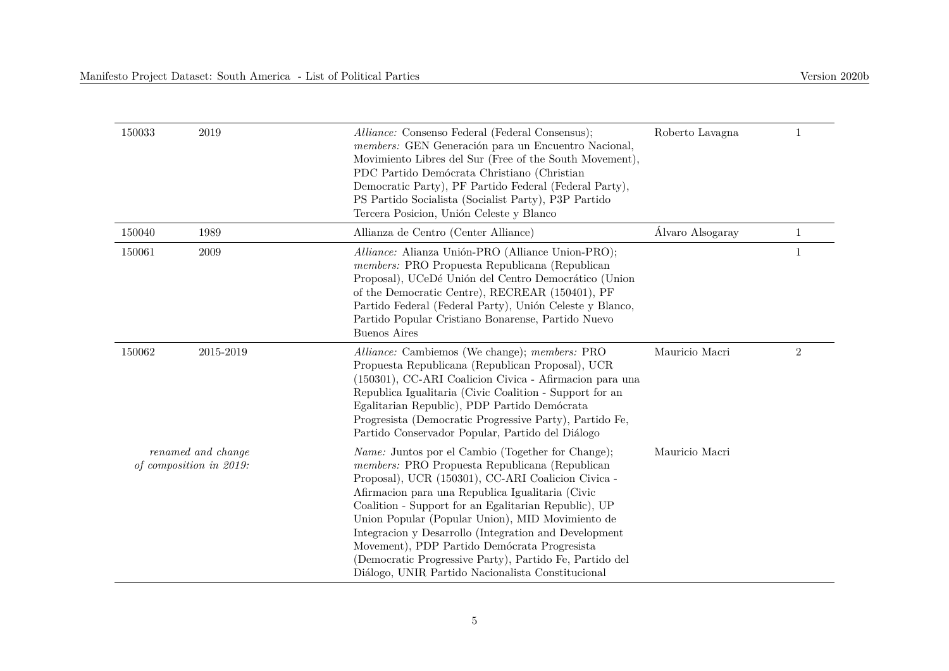| 150033                                        | 2019      | Alliance: Consenso Federal (Federal Consensus);<br>members: GEN Generación para un Encuentro Nacional,<br>Movimiento Libres del Sur (Free of the South Movement),<br>PDC Partido Demócrata Christiano (Christian<br>Democratic Party), PF Partido Federal (Federal Party),<br>PS Partido Socialista (Socialist Party), P3P Partido<br>Tercera Posicion, Unión Celeste y Blanco                                                                                                                                                                            | Roberto Lavagna  | -1               |
|-----------------------------------------------|-----------|-----------------------------------------------------------------------------------------------------------------------------------------------------------------------------------------------------------------------------------------------------------------------------------------------------------------------------------------------------------------------------------------------------------------------------------------------------------------------------------------------------------------------------------------------------------|------------------|------------------|
| 150040                                        | 1989      | Allianza de Centro (Center Alliance)                                                                                                                                                                                                                                                                                                                                                                                                                                                                                                                      | Álvaro Alsogaray | $\mathbf{1}$     |
| 150061                                        | 2009      | Alliance: Alianza Unión-PRO (Alliance Union-PRO);<br>members: PRO Propuesta Republicana (Republican<br>Proposal), UCeDé Unión del Centro Democrático (Union<br>of the Democratic Centre), RECREAR (150401), PF<br>Partido Federal (Federal Party), Unión Celeste y Blanco,<br>Partido Popular Cristiano Bonarense, Partido Nuevo<br><b>Buenos Aires</b>                                                                                                                                                                                                   |                  | $\mathbf{1}$     |
| 150062                                        | 2015-2019 | Alliance: Cambiemos (We change); members: PRO<br>Propuesta Republicana (Republican Proposal), UCR<br>(150301), CC-ARI Coalicion Civica - Afirmacion para una<br>Republica Igualitaria (Civic Coalition - Support for an<br>Egalitarian Republic), PDP Partido Demócrata<br>Progressita (Democratic Progressive Party), Partido Fe,<br>Partido Conservador Popular, Partido del Diálogo                                                                                                                                                                    | Mauricio Macri   | $\boldsymbol{2}$ |
| renamed and change<br>of composition in 2019: |           | <i>Name:</i> Juntos por el Cambio (Together for Change);<br>members: PRO Propuesta Republicana (Republican<br>Proposal), UCR (150301), CC-ARI Coalicion Civica -<br>Afirmacion para una Republica Igualitaria (Civic<br>Coalition - Support for an Egalitarian Republic), UP<br>Union Popular (Popular Union), MID Movimiento de<br>Integracion y Desarrollo (Integration and Development<br>Movement), PDP Partido Demócrata Progresista<br>(Democratic Progressive Party), Partido Fe, Partido del<br>Diálogo, UNIR Partido Nacionalista Constitucional | Mauricio Macri   |                  |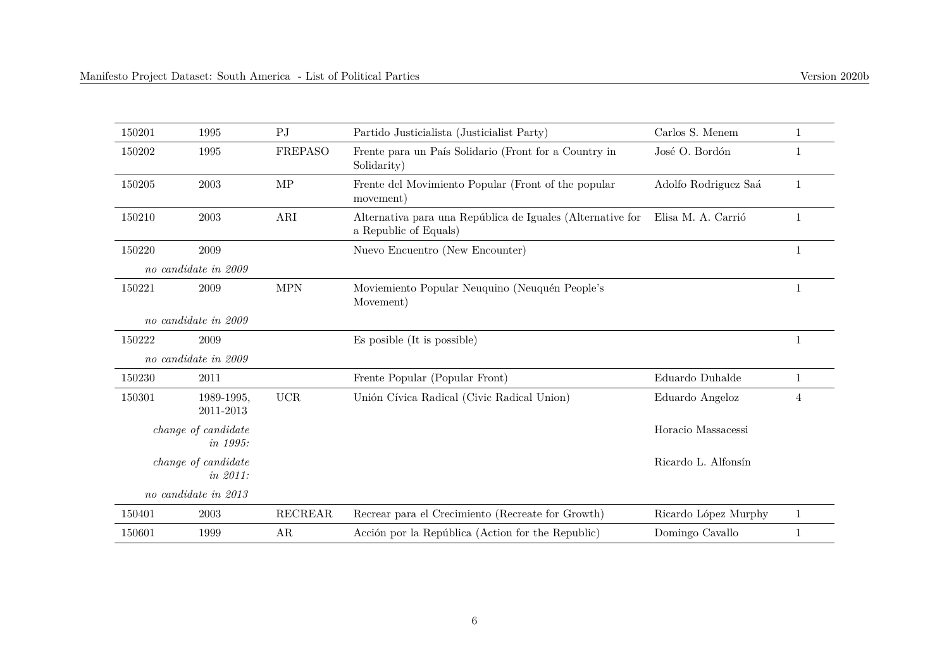| 150201 | 1995                            | P <sub>J</sub> | Partido Justicialista (Justicialist Party)                                          | Carlos S. Menem      | 1            |
|--------|---------------------------------|----------------|-------------------------------------------------------------------------------------|----------------------|--------------|
| 150202 | 1995                            | FREPASO        | Frente para un País Solidario (Front for a Country in<br>Solidarity)                | José O. Bordón       | 1            |
| 150205 | 2003                            | MP             | Frente del Movimiento Popular (Front of the popular<br>movement)                    | Adolfo Rodriguez Saá | 1            |
| 150210 | 2003                            | ARI            | Alternativa para una República de Iguales (Alternative for<br>a Republic of Equals) | Elisa M. A. Carrió   | 1            |
| 150220 | 2009                            |                | Nuevo Encuentro (New Encounter)                                                     |                      | 1            |
|        | no candidate in 2009            |                |                                                                                     |                      |              |
| 150221 | 2009                            | <b>MPN</b>     | Moviemiento Popular Neuquino (Neuquén People's<br>Movement)                         |                      | $\mathbf 1$  |
|        | no candidate in 2009            |                |                                                                                     |                      |              |
| 150222 | 2009                            |                | Es posible (It is possible)                                                         |                      | $\mathbf{1}$ |
|        | no candidate in 2009            |                |                                                                                     |                      |              |
| 150230 | 2011                            |                | Frente Popular (Popular Front)                                                      | Eduardo Duhalde      | $\mathbf{1}$ |
| 150301 | 1989-1995,<br>2011-2013         | <b>UCR</b>     | Unión Cívica Radical (Civic Radical Union)                                          | Eduardo Angeloz      | 4            |
|        | change of candidate<br>in 1995: |                |                                                                                     | Horacio Massacessi   |              |
|        | change of candidate<br>in 2011: |                |                                                                                     | Ricardo L. Alfonsín  |              |
|        | no candidate in $2013$          |                |                                                                                     |                      |              |
| 150401 | 2003                            | <b>RECREAR</b> | Recrear para el Crecimiento (Recreate for Growth)                                   | Ricardo López Murphy | $\mathbf{1}$ |
| 150601 | 1999                            | AR             | Acción por la República (Action for the Republic)                                   | Domingo Cavallo      |              |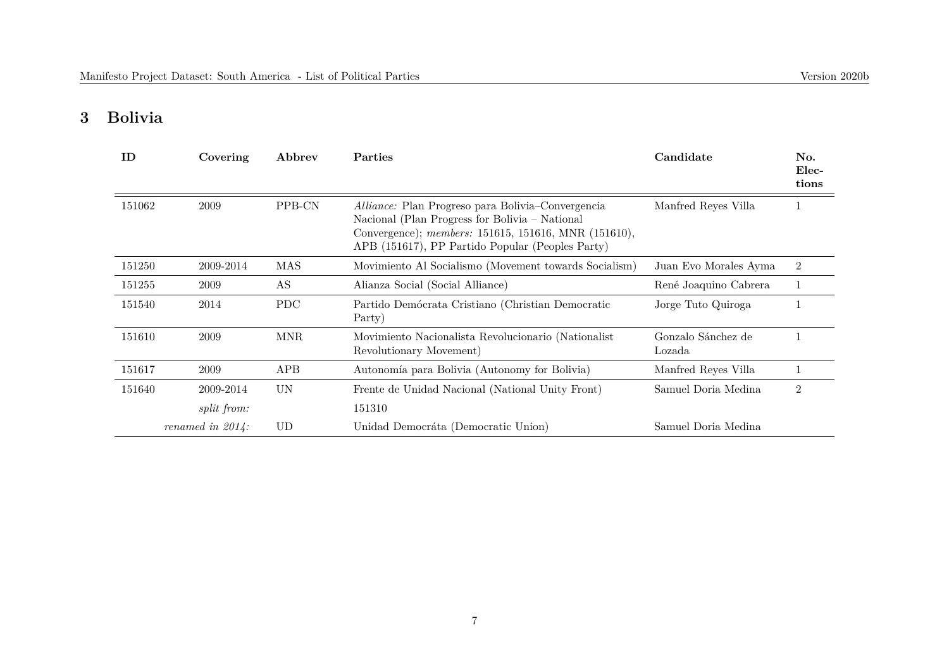## **3 Bolivia**

| ID     | Covering            | Abbrev     | Parties                                                                                                                                                                                                                | Candidate                    | No.<br>Elec-<br>tions |
|--------|---------------------|------------|------------------------------------------------------------------------------------------------------------------------------------------------------------------------------------------------------------------------|------------------------------|-----------------------|
| 151062 | 2009                | PPB-CN     | <i>Alliance:</i> Plan Progreso para Bolivia–Convergencia<br>Nacional (Plan Progress for Bolivia – National<br>Convergence); members: 151615, 151616, MNR (151610),<br>APB (151617), PP Partido Popular (Peoples Party) | Manfred Reyes Villa          |                       |
| 151250 | 2009-2014           | MAS        | Movimiento Al Socialismo (Movement towards Socialism)                                                                                                                                                                  | Juan Evo Morales Ayma        | $\overline{2}$        |
| 151255 | 2009                | AS         | Alianza Social (Social Alliance)                                                                                                                                                                                       | René Joaquino Cabrera        |                       |
| 151540 | 2014                | <b>PDC</b> | Partido Demócrata Cristiano (Christian Democratic<br>Party)                                                                                                                                                            | Jorge Tuto Quiroga           |                       |
| 151610 | 2009                | <b>MNR</b> | Movimiento Nacionalista Revolucionario (Nationalist<br>Revolutionary Movement)                                                                                                                                         | Gonzalo Sánchez de<br>Lozada |                       |
| 151617 | 2009                | APB        | Autonomía para Bolivia (Autonomy for Bolivia)                                                                                                                                                                          | Manfred Reyes Villa          |                       |
| 151640 | 2009-2014           | UN         | Frente de Unidad Nacional (National Unity Front)                                                                                                                                                                       | Samuel Doria Medina          | $\overline{2}$        |
|        | <i>split from:</i>  |            | 151310                                                                                                                                                                                                                 |                              |                       |
|        | renamed in $2014$ : | UD         | Unidad Democráta (Democratic Union)                                                                                                                                                                                    | Samuel Doria Medina          |                       |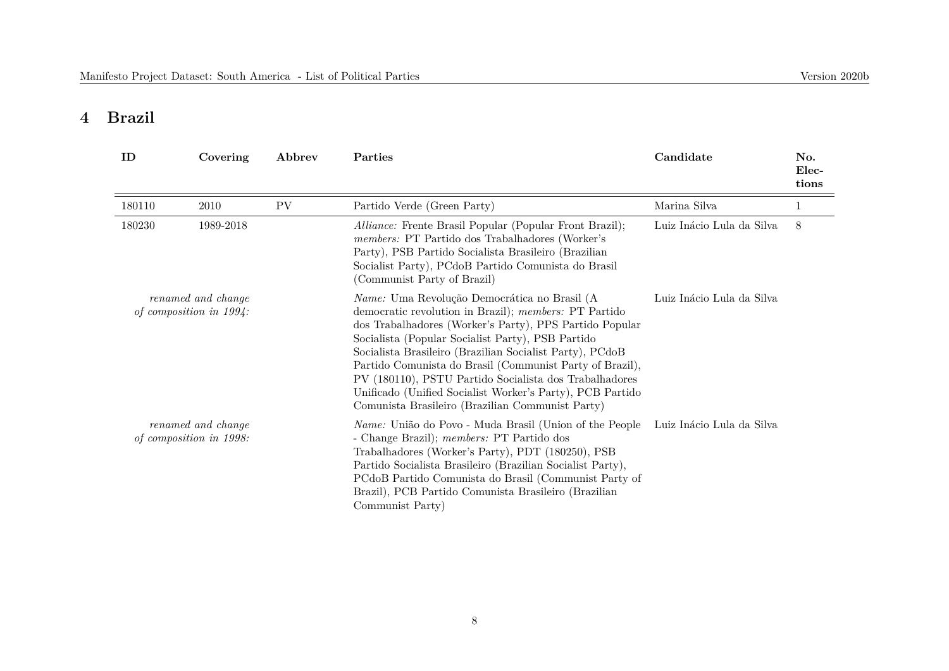## **4 Brazil**

| ID                                            | Covering                                      | Abbrev    | Parties                                                                                                                                                                                                                                                                                                                                                                                                                                                                                                                         | Candidate                 | No.<br>Elec-<br>tions |
|-----------------------------------------------|-----------------------------------------------|-----------|---------------------------------------------------------------------------------------------------------------------------------------------------------------------------------------------------------------------------------------------------------------------------------------------------------------------------------------------------------------------------------------------------------------------------------------------------------------------------------------------------------------------------------|---------------------------|-----------------------|
| 180110                                        | 2010                                          | <b>PV</b> | Partido Verde (Green Party)                                                                                                                                                                                                                                                                                                                                                                                                                                                                                                     | Marina Silva              |                       |
| 180230                                        | 1989-2018                                     |           | <i>Alliance:</i> Frente Brasil Popular (Popular Front Brazil);<br><i>members:</i> PT Partido dos Trabalhadores (Worker's<br>Party), PSB Partido Socialista Brasileiro (Brazilian<br>Socialist Party), PCdoB Partido Comunista do Brasil<br>(Communist Party of Brazil)                                                                                                                                                                                                                                                          | Luiz Inácio Lula da Silva | 8                     |
| renamed and change<br>of composition in 1994: |                                               |           | Name: Uma Revolução Democrática no Brasil (A<br>democratic revolution in Brazil); <i>members:</i> PT Partido<br>dos Trabalhadores (Worker's Party), PPS Partido Popular<br>Socialista (Popular Socialist Party), PSB Partido<br>Socialista Brasileiro (Brazilian Socialist Party), PCdoB<br>Partido Comunista do Brasil (Communist Party of Brazil),<br>PV (180110), PSTU Partido Socialista dos Trabalhadores<br>Unificado (Unified Socialist Worker's Party), PCB Partido<br>Comunista Brasileiro (Brazilian Communist Party) | Luiz Inácio Lula da Silva |                       |
|                                               | renamed and change<br>of composition in 1998: |           | <i>Name:</i> União do Povo - Muda Brasil (Union of the People<br>- Change Brazil); members: PT Partido dos<br>Trabalhadores (Worker's Party), PDT (180250), PSB<br>Partido Socialista Brasileiro (Brazilian Socialist Party),<br>PCdoB Partido Comunista do Brasil (Communist Party of<br>Brazil), PCB Partido Comunista Brasileiro (Brazilian<br>Communist Party)                                                                                                                                                              | Luiz Inácio Lula da Silva |                       |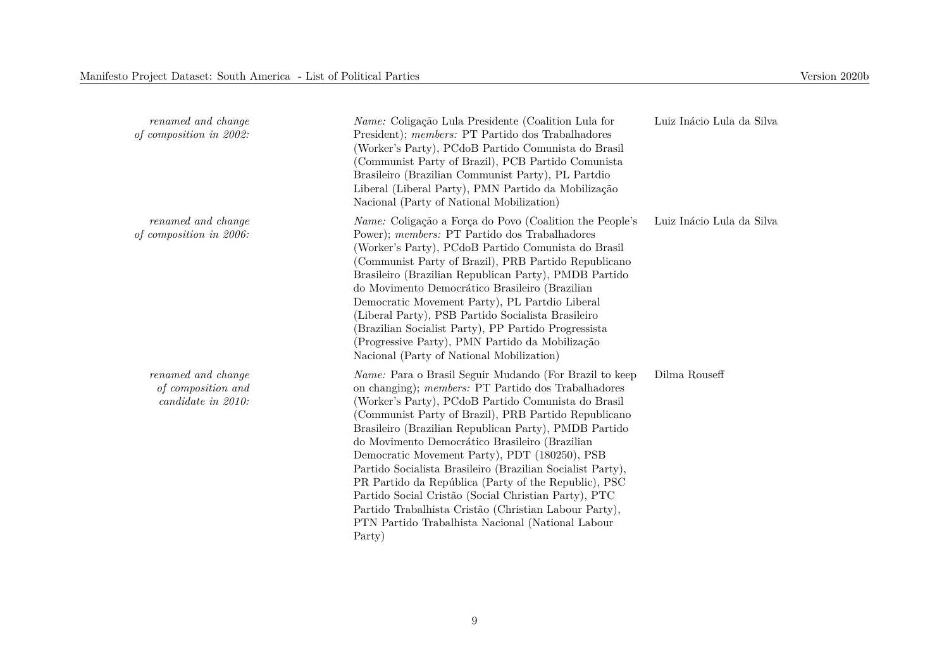| renamed and change<br>of composition in 2002:                  | Name: Coligação Lula Presidente (Coalition Lula for<br>President); <i>members:</i> PT Partido dos Trabalhadores<br>(Worker's Party), PCdoB Partido Comunista do Brasil<br>(Communist Party of Brazil), PCB Partido Comunista<br>Brasileiro (Brazilian Communist Party), PL Partdio<br>Liberal (Liberal Party), PMN Partido da Mobilização<br>Nacional (Party of National Mobilization)                                                                                                                                                                                                                                                                                                         | Luiz Inácio Lula da Silva |
|----------------------------------------------------------------|------------------------------------------------------------------------------------------------------------------------------------------------------------------------------------------------------------------------------------------------------------------------------------------------------------------------------------------------------------------------------------------------------------------------------------------------------------------------------------------------------------------------------------------------------------------------------------------------------------------------------------------------------------------------------------------------|---------------------------|
| renamed and change<br>of composition in 2006:                  | Name: Coligação a Força do Povo (Coalition the People's<br>Power); members: PT Partido dos Trabalhadores<br>(Worker's Party), PCdoB Partido Comunista do Brasil<br>(Communist Party of Brazil), PRB Partido Republicano<br>Brasileiro (Brazilian Republican Party), PMDB Partido<br>do Movimento Democrático Brasileiro (Brazilian<br>Democratic Movement Party), PL Partdio Liberal<br>(Liberal Party), PSB Partido Socialista Brasileiro<br>(Brazilian Socialist Party), PP Partido Progressista<br>(Progressive Party), PMN Partido da Mobilização<br>Nacional (Party of National Mobilization)                                                                                             | Luiz Inácio Lula da Silva |
| renamed and change<br>of composition and<br>candidate in 2010: | Name: Para o Brasil Seguir Mudando (For Brazil to keep<br>on changing); members: PT Partido dos Trabalhadores<br>(Worker's Party), PCdoB Partido Comunista do Brasil<br>(Communist Party of Brazil), PRB Partido Republicano<br>Brasileiro (Brazilian Republican Party), PMDB Partido<br>do Movimento Democrático Brasileiro (Brazilian<br>Democratic Movement Party), PDT (180250), PSB<br>Partido Socialista Brasileiro (Brazilian Socialist Party),<br>PR Partido da República (Party of the Republic), PSC<br>Partido Social Cristão (Social Christian Party), PTC<br>Partido Trabalhista Cristão (Christian Labour Party),<br>PTN Partido Trabalhista Nacional (National Labour<br>Party) | Dilma Rouseff             |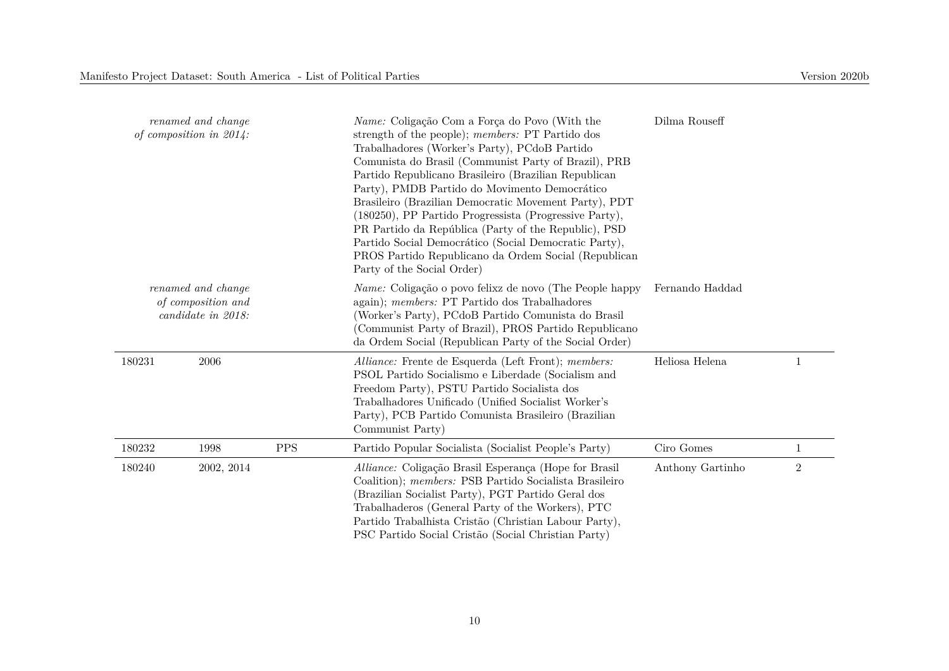| renamed and change<br>of composition in $2014$ :               |            |            | <i>Name:</i> Coligação Com a Força do Povo (With the<br>strength of the people); members: PT Partido dos<br>Trabalhadores (Worker's Party), PCdoB Partido<br>Comunista do Brasil (Communist Party of Brazil), PRB<br>Partido Republicano Brasileiro (Brazilian Republican<br>Party), PMDB Partido do Movimento Democrático<br>Brasileiro (Brazilian Democratic Movement Party), PDT<br>(180250), PP Partido Progressista (Progressive Party),<br>PR Partido da República (Party of the Republic), PSD<br>Partido Social Democrático (Social Democratic Party),<br>PROS Partido Republicano da Ordem Social (Republican<br>Party of the Social Order) | Dilma Rouseff    |       |  |
|----------------------------------------------------------------|------------|------------|------------------------------------------------------------------------------------------------------------------------------------------------------------------------------------------------------------------------------------------------------------------------------------------------------------------------------------------------------------------------------------------------------------------------------------------------------------------------------------------------------------------------------------------------------------------------------------------------------------------------------------------------------|------------------|-------|--|
| renamed and change<br>of composition and<br>candidate in 2018: |            |            | <i>Name:</i> Coligação o povo felixz de novo (The People happy<br>again); members: PT Partido dos Trabalhadores<br>(Worker's Party), PCdoB Partido Comunista do Brasil<br>(Communist Party of Brazil), PROS Partido Republicano<br>da Ordem Social (Republican Party of the Social Order)                                                                                                                                                                                                                                                                                                                                                            | Fernando Haddad  |       |  |
| 180231                                                         | 2006       |            | Alliance: Frente de Esquerda (Left Front); members:<br>PSOL Partido Socialismo e Liberdade (Socialism and<br>Freedom Party), PSTU Partido Socialista dos<br>Trabalhadores Unificado (Unified Socialist Worker's<br>Party), PCB Partido Comunista Brasileiro (Brazilian<br>Communist Party)                                                                                                                                                                                                                                                                                                                                                           | Heliosa Helena   | 1     |  |
| 180232                                                         | 1998       | <b>PPS</b> | Partido Popular Socialista (Socialist People's Party)                                                                                                                                                                                                                                                                                                                                                                                                                                                                                                                                                                                                | Ciro Gomes       | 1     |  |
| 180240                                                         | 2002, 2014 |            | Alliance: Coligação Brasil Esperança (Hope for Brasil<br>Coalition); members: PSB Partido Socialista Brasileiro<br>(Brazilian Socialist Party), PGT Partido Geral dos<br>Trabalhaderos (General Party of the Workers), PTC<br>Partido Trabalhista Cristão (Christian Labour Party),<br>PSC Partido Social Cristão (Social Christian Party)                                                                                                                                                                                                                                                                                                           | Anthony Gartinho | $\,2$ |  |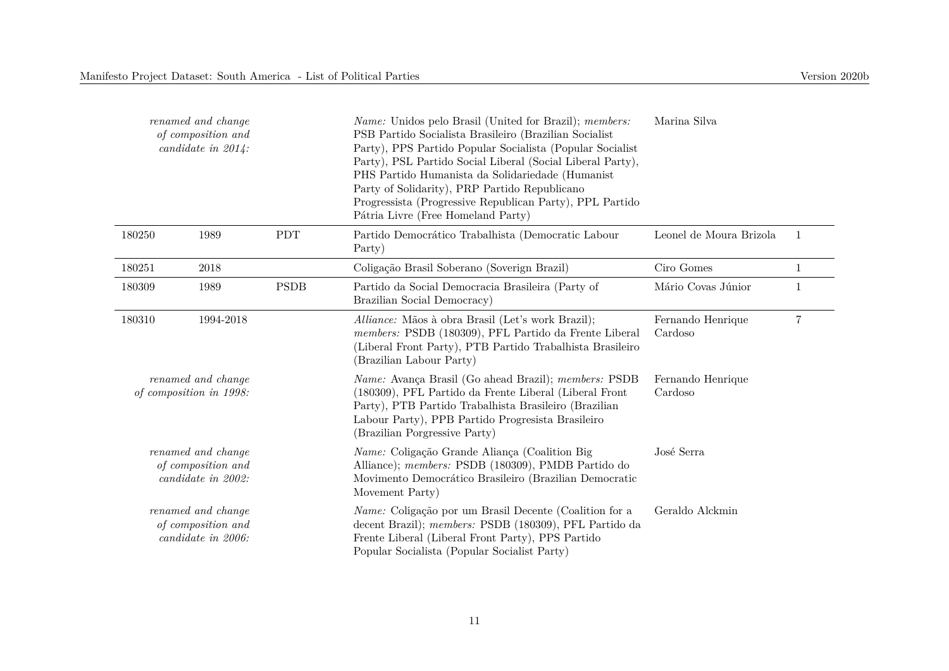| renamed and change<br>of composition and<br>candidate in $2014$ : |                                               |             | <i>Name:</i> Unidos pelo Brasil (United for Brazil); <i>members:</i><br>PSB Partido Socialista Brasileiro (Brazilian Socialist<br>Party), PPS Partido Popular Socialista (Popular Socialist<br>Party), PSL Partido Social Liberal (Social Liberal Party),<br>PHS Partido Humanista da Solidariedade (Humanist<br>Party of Solidarity), PRP Partido Republicano<br>Progressista (Progressive Republican Party), PPL Partido<br>Pátria Livre (Free Homeland Party) | Marina Silva                 |                |
|-------------------------------------------------------------------|-----------------------------------------------|-------------|------------------------------------------------------------------------------------------------------------------------------------------------------------------------------------------------------------------------------------------------------------------------------------------------------------------------------------------------------------------------------------------------------------------------------------------------------------------|------------------------------|----------------|
| 180250                                                            | 1989                                          | <b>PDT</b>  | Partido Democrático Trabalhista (Democratic Labour<br>Party)                                                                                                                                                                                                                                                                                                                                                                                                     | Leonel de Moura Brizola      | $\overline{1}$ |
| 180251                                                            | 2018                                          |             | Coligação Brasil Soberano (Soverign Brazil)                                                                                                                                                                                                                                                                                                                                                                                                                      | Ciro Gomes                   | 1              |
| 180309                                                            | 1989                                          | <b>PSDB</b> | Partido da Social Democracia Brasileira (Party of<br>Brazilian Social Democracy)                                                                                                                                                                                                                                                                                                                                                                                 | Mário Covas Júnior           | $\mathbf{1}$   |
| 180310                                                            | 1994-2018                                     |             | Alliance: Mãos à obra Brasil (Let's work Brazil);<br>members: PSDB (180309), PFL Partido da Frente Liberal<br>(Liberal Front Party), PTB Partido Trabalhista Brasileiro<br>(Brazilian Labour Party)                                                                                                                                                                                                                                                              | Fernando Henrique<br>Cardoso | 7              |
|                                                                   | renamed and change<br>of composition in 1998: |             | Name: Avança Brasil (Go ahead Brazil); members: PSDB<br>(180309), PFL Partido da Frente Liberal (Liberal Front<br>Party), PTB Partido Trabalhista Brasileiro (Brazilian<br>Labour Party), PPB Partido Progresista Brasileiro<br>(Brazilian Porgressive Party)                                                                                                                                                                                                    | Fernando Henrique<br>Cardoso |                |
| renamed and change<br>of composition and<br>candidate in 2002:    |                                               |             | Name: Coligação Grande Aliança (Coalition Big<br>Alliance); members: PSDB (180309), PMDB Partido do<br>Movimento Democrático Brasileiro (Brazilian Democratic<br>Movement Party)                                                                                                                                                                                                                                                                                 | José Serra                   |                |
| renamed and change<br>of composition and<br>candidate in 2006:    |                                               |             | <i>Name:</i> Coligação por um Brasil Decente (Coalition for a<br>decent Brazil); members: PSDB (180309), PFL Partido da<br>Frente Liberal (Liberal Front Party), PPS Partido<br>Popular Socialista (Popular Socialist Party)                                                                                                                                                                                                                                     | Geraldo Alckmin              |                |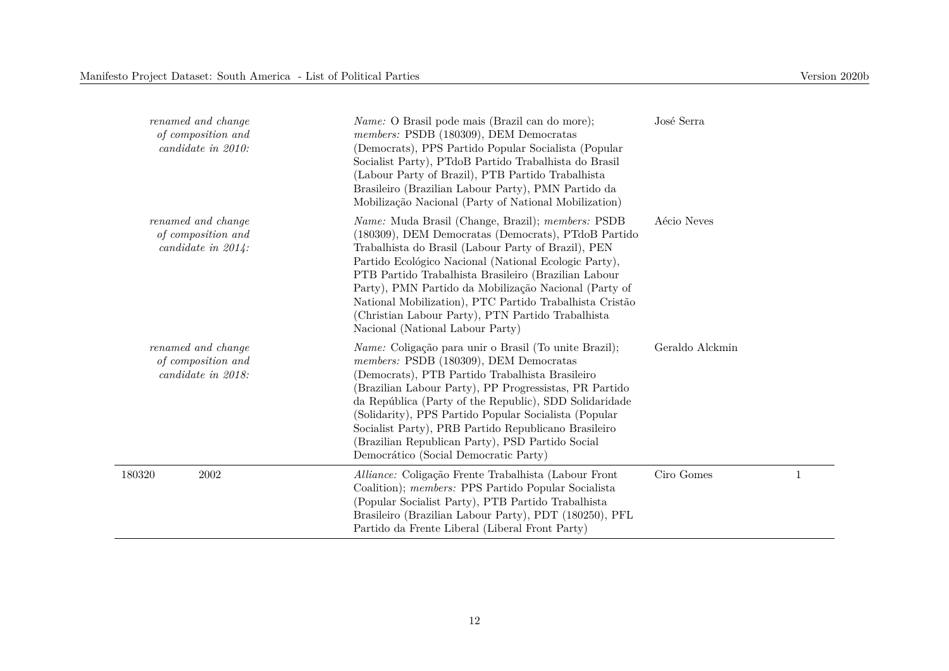| renamed and change<br>of composition and<br>candidate in 2010:    | <i>Name:</i> O Brasil pode mais (Brazil can do more);<br>members: PSDB (180309), DEM Democratas<br>(Democrats), PPS Partido Popular Socialista (Popular<br>Socialist Party), PTdoB Partido Trabalhista do Brasil<br>(Labour Party of Brazil), PTB Partido Trabalhista<br>Brasileiro (Brazilian Labour Party), PMN Partido da<br>Mobilização Nacional (Party of National Mobilization)                                                                                                                       | José Serra      |              |
|-------------------------------------------------------------------|-------------------------------------------------------------------------------------------------------------------------------------------------------------------------------------------------------------------------------------------------------------------------------------------------------------------------------------------------------------------------------------------------------------------------------------------------------------------------------------------------------------|-----------------|--------------|
| renamed and change<br>of composition and<br>candidate in $2014$ : | <i>Name:</i> Muda Brasil (Change, Brazil); <i>members:</i> PSDB<br>(180309), DEM Democratas (Democrats), PTdoB Partido<br>Trabalhista do Brasil (Labour Party of Brazil), PEN<br>Partido Ecológico Nacional (National Ecologic Party),<br>PTB Partido Trabalhista Brasileiro (Brazilian Labour<br>Party), PMN Partido da Mobilização Nacional (Party of<br>National Mobilization), PTC Partido Trabalhista Cristão<br>(Christian Labour Party), PTN Partido Trabalhista<br>Nacional (National Labour Party) | Aécio Neves     |              |
| renamed and change<br>of composition and<br>candidate in 2018:    | <i>Name:</i> Coligação para unir o Brasil (To unite Brazil);<br>members: PSDB (180309), DEM Democratas<br>(Democrats), PTB Partido Trabalhista Brasileiro<br>(Brazilian Labour Party), PP Progressistas, PR Partido<br>da República (Party of the Republic), SDD Solidaridade<br>(Solidarity), PPS Partido Popular Socialista (Popular<br>Socialist Party), PRB Partido Republicano Brasileiro<br>(Brazilian Republican Party), PSD Partido Social<br>Democrático (Social Democratic Party)                 | Geraldo Alckmin |              |
| 180320<br>2002                                                    | Alliance: Coligação Frente Trabalhista (Labour Front<br>Coalition); members: PPS Partido Popular Socialista<br>(Popular Socialist Party), PTB Partido Trabalhista<br>Brasileiro (Brazilian Labour Party), PDT (180250), PFL<br>Partido da Frente Liberal (Liberal Front Party)                                                                                                                                                                                                                              | Ciro Gomes      | $\mathbf{1}$ |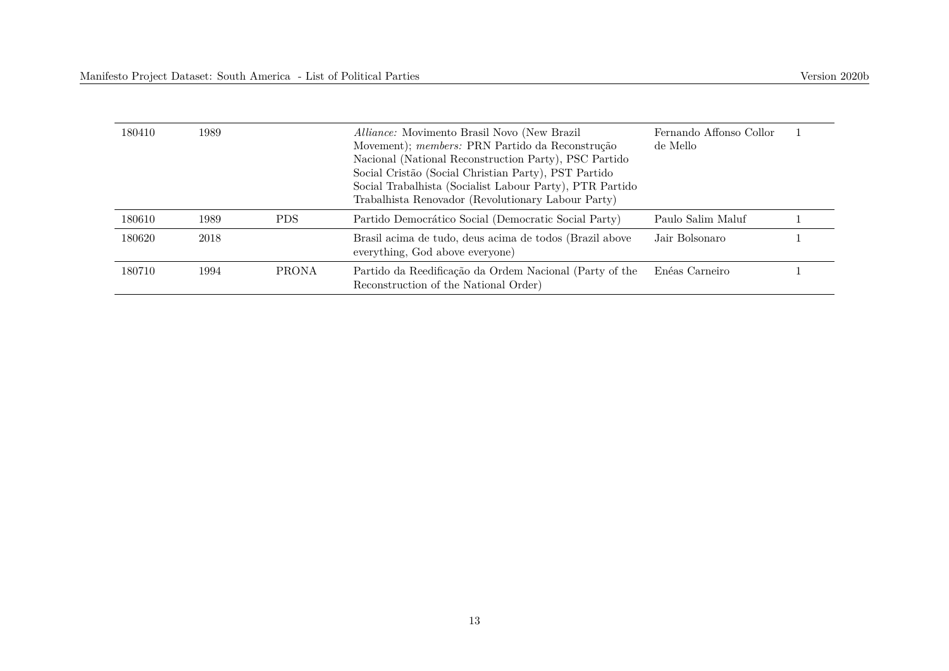| 180410 | 1989 |              | <i>Alliance:</i> Movimento Brasil Novo (New Brazil)<br>Movement); members: PRN Partido da Reconstrução<br>Nacional (National Reconstruction Party), PSC Partido<br>Social Cristão (Social Christian Party), PST Partido<br>Social Trabalhista (Socialist Labour Party), PTR Partido<br>Trabalhista Renovador (Revolutionary Labour Party) | Fernando Affonso Collor<br>de Mello |  |
|--------|------|--------------|-------------------------------------------------------------------------------------------------------------------------------------------------------------------------------------------------------------------------------------------------------------------------------------------------------------------------------------------|-------------------------------------|--|
| 180610 | 1989 | PDS.         | Partido Democrático Social (Democratic Social Party)                                                                                                                                                                                                                                                                                      | Paulo Salim Maluf                   |  |
| 180620 | 2018 |              | Brasil acima de tudo, deus acima de todos (Brazil above<br>everything, God above everyone)                                                                                                                                                                                                                                                | Jair Bolsonaro                      |  |
| 180710 | 1994 | <b>PRONA</b> | Partido da Reedificação da Ordem Nacional (Party of the<br>Reconstruction of the National Order)                                                                                                                                                                                                                                          | Enéas Carneiro                      |  |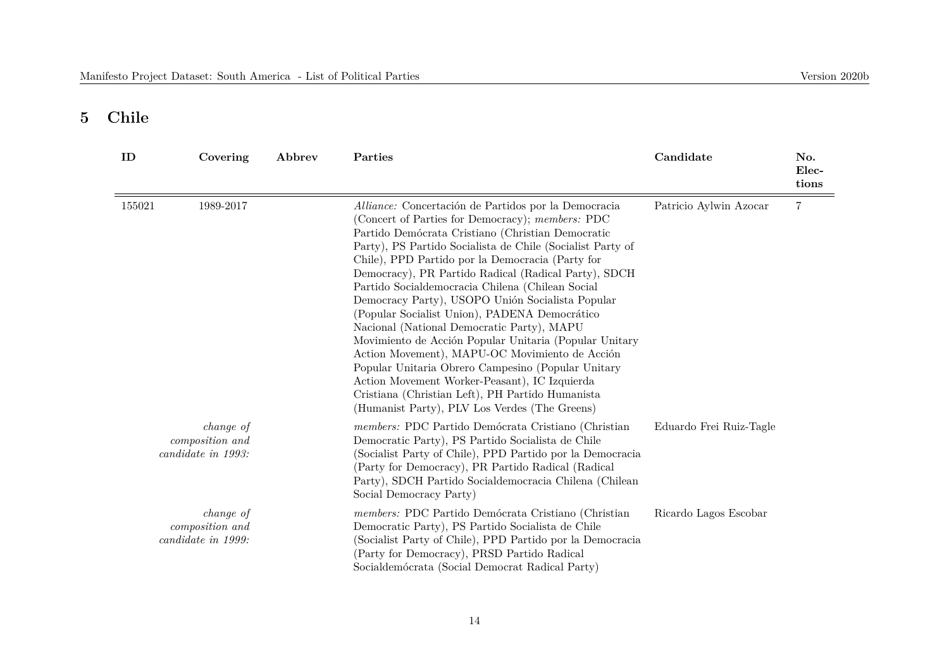## **5 Chile**

| ID     | Covering                                                  | Abbrev | Parties                                                                                                                                                                                                                                                                                                                                                                                                                                                                                                                                                                                                                                                                                                                                                                                                                                                                | Candidate               | No.<br>Elec-<br>tions |
|--------|-----------------------------------------------------------|--------|------------------------------------------------------------------------------------------------------------------------------------------------------------------------------------------------------------------------------------------------------------------------------------------------------------------------------------------------------------------------------------------------------------------------------------------------------------------------------------------------------------------------------------------------------------------------------------------------------------------------------------------------------------------------------------------------------------------------------------------------------------------------------------------------------------------------------------------------------------------------|-------------------------|-----------------------|
| 155021 | 1989-2017                                                 |        | Alliance: Concertación de Partidos por la Democracia<br>(Concert of Parties for Democracy); members: PDC<br>Partido Demócrata Cristiano (Christian Democratic<br>Party), PS Partido Socialista de Chile (Socialist Party of<br>Chile), PPD Partido por la Democracia (Party for<br>Democracy), PR Partido Radical (Radical Party), SDCH<br>Partido Socialdemocracia Chilena (Chilean Social<br>Democracy Party), USOPO Unión Socialista Popular<br>(Popular Socialist Union), PADENA Democrático<br>Nacional (National Democratic Party), MAPU<br>Movimiento de Acción Popular Unitaria (Popular Unitary<br>Action Movement), MAPU-OC Movimiento de Acción<br>Popular Unitaria Obrero Campesino (Popular Unitary<br>Action Movement Worker-Peasant), IC Izquierda<br>Cristiana (Christian Left), PH Partido Humanista<br>(Humanist Party), PLV Los Verdes (The Greens) | Patricio Aylwin Azocar  | $\overline{7}$        |
|        | <i>change of</i><br>composition and<br>candidate in 1993: |        | members: PDC Partido Demócrata Cristiano (Christian<br>Democratic Party), PS Partido Socialista de Chile<br>(Socialist Party of Chile), PPD Partido por la Democracia<br>(Party for Democracy), PR Partido Radical (Radical<br>Party), SDCH Partido Socialdemocracia Chilena (Chilean<br>Social Democracy Party)                                                                                                                                                                                                                                                                                                                                                                                                                                                                                                                                                       | Eduardo Frei Ruiz-Tagle |                       |
|        | <i>change of</i><br>composition and<br>candidate in 1999: |        | members: PDC Partido Demócrata Cristiano (Christian<br>Democratic Party), PS Partido Socialista de Chile<br>(Socialist Party of Chile), PPD Partido por la Democracia<br>(Party for Democracy), PRSD Partido Radical<br>Socialdemócrata (Social Democrat Radical Party)                                                                                                                                                                                                                                                                                                                                                                                                                                                                                                                                                                                                | Ricardo Lagos Escobar   |                       |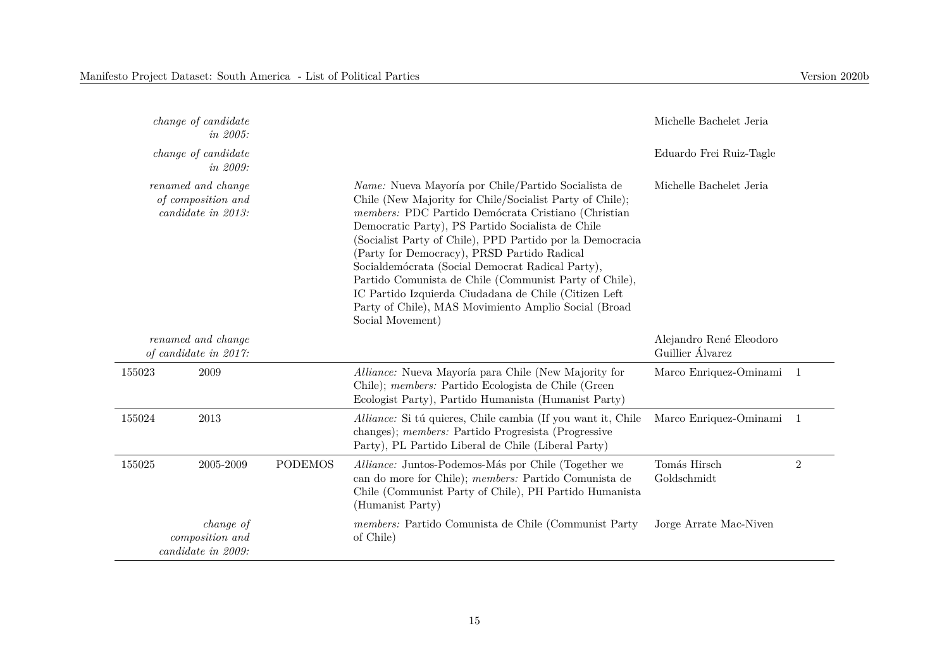| <i>change of candidate</i><br><i>in 2005:</i>                  |                                        |                |                                                                                                                                                                                                                                                                                                                                                                                                                                                                                                                                                                                                   | Michelle Bachelet Jeria                     |                |
|----------------------------------------------------------------|----------------------------------------|----------------|---------------------------------------------------------------------------------------------------------------------------------------------------------------------------------------------------------------------------------------------------------------------------------------------------------------------------------------------------------------------------------------------------------------------------------------------------------------------------------------------------------------------------------------------------------------------------------------------------|---------------------------------------------|----------------|
|                                                                | <i>change of candidate</i><br>in 2009: |                |                                                                                                                                                                                                                                                                                                                                                                                                                                                                                                                                                                                                   | Eduardo Frei Ruiz-Tagle                     |                |
| renamed and change<br>of composition and<br>candidate in 2013: |                                        |                | <i>Name:</i> Nueva Mayoría por Chile/Partido Socialista de<br>Chile (New Majority for Chile/Socialist Party of Chile);<br>members: PDC Partido Demócrata Cristiano (Christian<br>Democratic Party), PS Partido Socialista de Chile<br>(Socialist Party of Chile), PPD Partido por la Democracia<br>(Party for Democracy), PRSD Partido Radical<br>Socialdemócrata (Social Democrat Radical Party),<br>Partido Comunista de Chile (Communist Party of Chile),<br>IC Partido Izquierda Ciudadana de Chile (Citizen Left<br>Party of Chile), MAS Movimiento Amplio Social (Broad<br>Social Movement) | Michelle Bachelet Jeria                     |                |
| renamed and change<br>of candidate in 2017:                    |                                        |                |                                                                                                                                                                                                                                                                                                                                                                                                                                                                                                                                                                                                   | Alejandro René Eleodoro<br>Guillier Álvarez |                |
| 155023                                                         | 2009                                   |                | Alliance: Nueva Mayoría para Chile (New Majority for<br>Chile); members: Partido Ecologista de Chile (Green<br>Ecologist Party), Partido Humanista (Humanist Party)                                                                                                                                                                                                                                                                                                                                                                                                                               | Marco Enriquez-Ominami 1                    |                |
| 155024                                                         | 2013                                   |                | Alliance: Si tú quieres, Chile cambia (If you want it, Chile<br>changes); <i>members:</i> Partido Progressita (Progressive<br>Party), PL Partido Liberal de Chile (Liberal Party)                                                                                                                                                                                                                                                                                                                                                                                                                 | Marco Enriquez-Ominami                      | $\overline{1}$ |
| 155025                                                         | 2005-2009                              | <b>PODEMOS</b> | Alliance: Juntos-Podemos-Más por Chile (Together we<br>can do more for Chile); members: Partido Comunista de<br>Chile (Communist Party of Chile), PH Partido Humanista<br>(Humanist Party)                                                                                                                                                                                                                                                                                                                                                                                                        | Tomás Hirsch<br>Goldschmidt                 | $\overline{2}$ |
| change of<br>composition and<br>candidate in 2009:             |                                        |                | members: Partido Comunista de Chile (Communist Party<br>of Chile)                                                                                                                                                                                                                                                                                                                                                                                                                                                                                                                                 | Jorge Arrate Mac-Niven                      |                |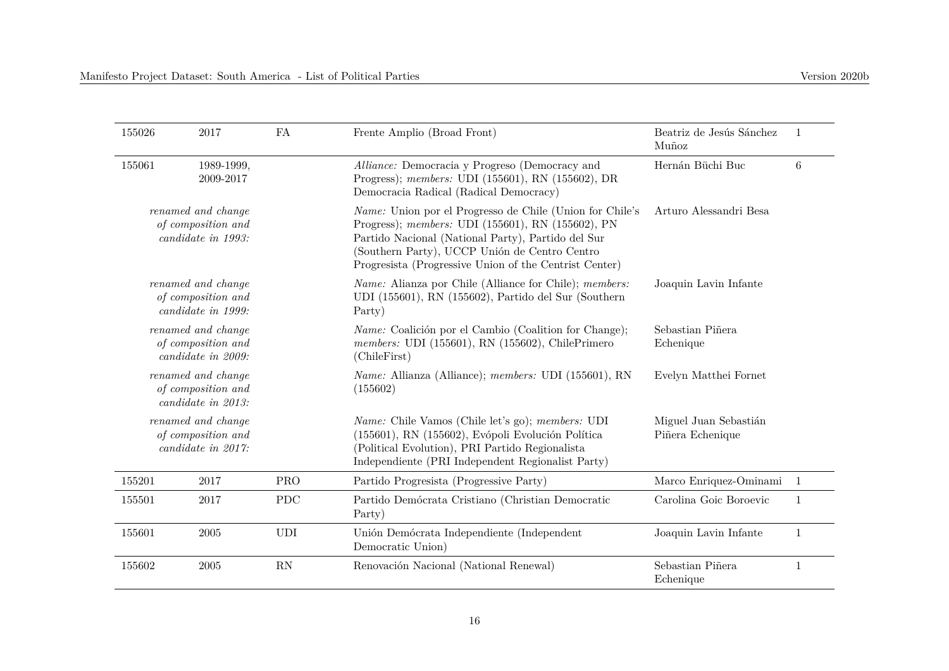| 155026                                                         | 2017               | FA | Frente Amplio (Broad Front)                                                                                                                                                                                                                                                           | Beatriz de Jesús Sánchez  |   |
|----------------------------------------------------------------|--------------------|----|---------------------------------------------------------------------------------------------------------------------------------------------------------------------------------------------------------------------------------------------------------------------------------------|---------------------------|---|
| 155061                                                         | 1989-1999.         |    | Alliance: Democracia y Progreso (Democracy and                                                                                                                                                                                                                                        | Muñoz<br>Hernán Büchi Buc | 6 |
|                                                                | 2009-2017          |    | Progress); <i>members:</i> UDI (155601), RN (155602), DR<br>Democracia Radical (Radical Democracy)                                                                                                                                                                                    |                           |   |
| renamed and change<br>of composition and<br>candidate in 1993: |                    |    | <i>Name:</i> Union por el Progresso de Chile (Union for Chile's<br>Progress); members: UDI (155601), RN (155602), PN<br>Partido Nacional (National Party), Partido del Sur<br>(Southern Party), UCCP Unión de Centro Centro<br>Progressita (Progressive Union of the Centrist Center) | Arturo Alessandri Besa    |   |
| renamed and change<br>of composition and<br>candidate in 1999: |                    |    | <i>Name:</i> Alianza por Chile (Alliance for Chile); <i>members:</i><br>UDI (155601), RN (155602), Partido del Sur (Southern<br>Party)                                                                                                                                                | Joaquin Lavin Infante     |   |
|                                                                | renamed and change |    | <i>Name:</i> Coalición por el Cambio (Coalition for Change);<br>$TITU(AEBAA)$ DM $(AEBAA)$ OF $H$                                                                                                                                                                                     | Sebastian Piñera          |   |

| 155061                                                         | 1989-1999,<br>2009-2017 |            | Alliance: Democracia y Progreso (Democracy and<br>Progress); members: UDI (155601), RN (155602), DR<br>Democracia Radical (Radical Democracy)                                                                                                                                  | Hernán Büchi Buc                          | 6              |
|----------------------------------------------------------------|-------------------------|------------|--------------------------------------------------------------------------------------------------------------------------------------------------------------------------------------------------------------------------------------------------------------------------------|-------------------------------------------|----------------|
| renamed and change<br>of composition and<br>candidate in 1993: |                         |            | Name: Union por el Progresso de Chile (Union for Chile's<br>Progress); members: UDI (155601), RN (155602), PN<br>Partido Nacional (National Party), Partido del Sur<br>(Southern Party), UCCP Unión de Centro Centro<br>Progressita (Progressive Union of the Centrist Center) | Arturo Alessandri Besa                    |                |
| renamed and change<br>of composition and<br>candidate in 1999: |                         |            | <i>Name:</i> Alianza por Chile (Alliance for Chile); <i>members:</i><br>UDI (155601), RN (155602), Partido del Sur (Southern<br>Party)                                                                                                                                         | Joaquin Lavin Infante                     |                |
| renamed and change<br>of composition and<br>candidate in 2009: |                         |            | <i>Name:</i> Coalición por el Cambio (Coalition for Change);<br>members: UDI (155601), RN (155602), ChilePrimero<br>(ChileFirst)                                                                                                                                               | Sebastian Piñera<br>Echenique             |                |
| renamed and change<br>of composition and<br>candidate in 2013: |                         |            | <i>Name:</i> Allianza (Alliance); <i>members:</i> UDI (155601), RN<br>(155602)                                                                                                                                                                                                 | Evelyn Matthei Fornet                     |                |
| renamed and change<br>of composition and<br>candidate in 2017: |                         |            | <i>Name:</i> Chile Vamos (Chile let's go); <i>members:</i> UDI<br>(155601), RN (155602), Evópoli Evolución Política<br>(Political Evolution), PRI Partido Regionalista<br>Independiente (PRI Independent Regionalist Party)                                                    | Miguel Juan Sebastián<br>Piñera Echenique |                |
| 155201                                                         | 2017                    | <b>PRO</b> | Partido Progressita (Progressive Party)                                                                                                                                                                                                                                        | Marco Enriquez-Ominami                    | $\overline{1}$ |
| 155501                                                         | 2017                    | <b>PDC</b> | Partido Demócrata Cristiano (Christian Democratic<br>Party)                                                                                                                                                                                                                    | Carolina Goic Boroevic                    | 1              |
| 155601                                                         | 2005                    | <b>UDI</b> | Unión Demócrata Independiente (Independent<br>Democratic Union)                                                                                                                                                                                                                | Joaquin Lavin Infante                     | $\mathbf{1}$   |
| 155602                                                         | 2005                    | RN         | Renovación Nacional (National Renewal)                                                                                                                                                                                                                                         | Sebastian Piñera<br>Echenique             | 1              |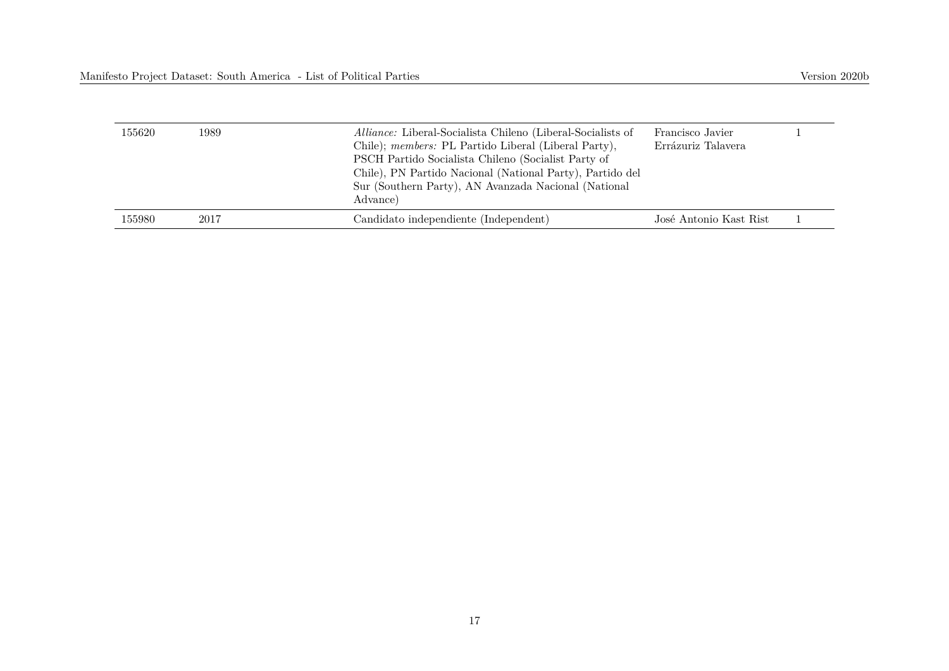| 155620 | 1989 | Alliance: Liberal-Socialista Chileno (Liberal-Socialists of<br>Chile); members: PL Partido Liberal (Liberal Party),<br>PSCH Partido Socialista Chileno (Socialist Party of<br>Chile), PN Partido Nacional (National Party), Partido del<br>Sur (Southern Party), AN Avanzada Nacional (National<br>Advance) | Francisco Javier<br>Errázuriz Talavera |  |
|--------|------|-------------------------------------------------------------------------------------------------------------------------------------------------------------------------------------------------------------------------------------------------------------------------------------------------------------|----------------------------------------|--|
| 155980 | 2017 | Candidato independiente (Independent)                                                                                                                                                                                                                                                                       | José Antonio Kast Rist                 |  |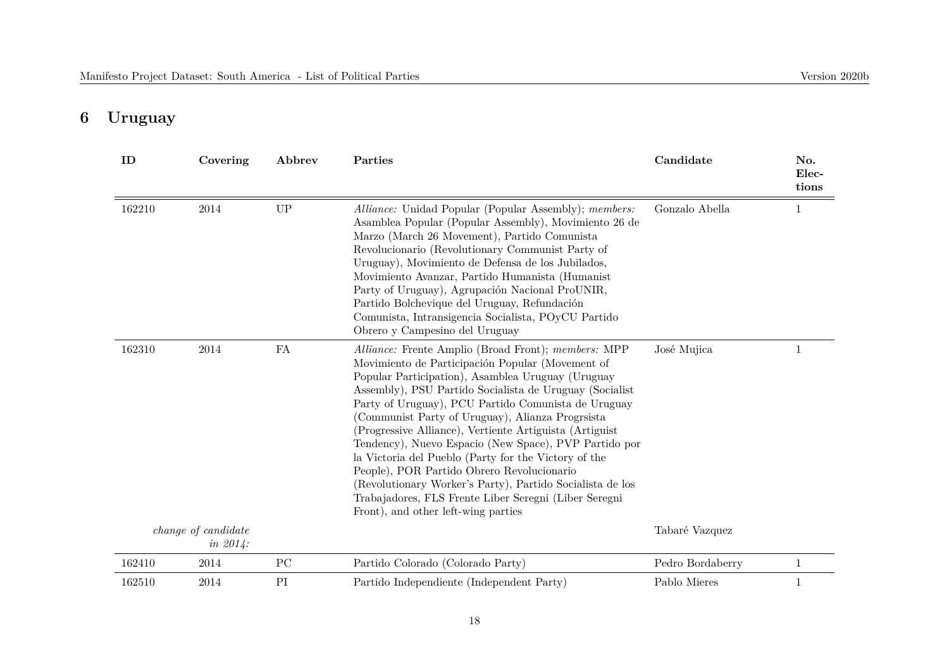# **6 Uruguay**

| ID     | Covering                           | Abbrev      | Parties                                                                                                                                                                                                                                                                                                                                                                                                                                                                                                                                                                                                                                                                                                                   | Candidate        | No.<br>Elec-<br>tions |
|--------|------------------------------------|-------------|---------------------------------------------------------------------------------------------------------------------------------------------------------------------------------------------------------------------------------------------------------------------------------------------------------------------------------------------------------------------------------------------------------------------------------------------------------------------------------------------------------------------------------------------------------------------------------------------------------------------------------------------------------------------------------------------------------------------------|------------------|-----------------------|
| 162210 | 2014                               | <b>UP</b>   | Alliance: Unidad Popular (Popular Assembly); members:<br>Asamblea Popular (Popular Assembly), Movimiento 26 de<br>Marzo (March 26 Movement), Partido Comunista<br>Revolucionario (Revolutionary Communist Party of<br>Uruguay), Movimiento de Defensa de los Jubilados,<br>Movimiento Avanzar, Partido Humanista (Humanist<br>Party of Uruguay), Agrupación Nacional ProUNIR,<br>Partido Bolchevique del Uruguay, Refundación<br>Comunista, Intransigencia Socialista, POyCU Partido<br>Obrero y Campesino del Uruguay                                                                                                                                                                                                    | Gonzalo Abella   | 1                     |
| 162310 | 2014                               | FA          | Alliance: Frente Amplio (Broad Front); members: MPP<br>Movimiento de Participación Popular (Movement of<br>Popular Participation), Asamblea Uruguay (Uruguay<br>Assembly), PSU Partido Socialista de Uruguay (Socialist<br>Party of Uruguay), PCU Partido Comunista de Uruguay<br>(Communist Party of Uruguay), Alianza Progrsista<br>(Progressive Alliance), Vertiente Artiguista (Artiguist<br>Tendency), Nuevo Espacio (New Space), PVP Partido por<br>la Victoria del Pueblo (Party for the Victory of the<br>People), POR Partido Obrero Revolucionario<br>(Revolutionary Worker's Party), Partido Socialista de los<br>Trabajadores, FLS Frente Liber Seregni (Liber Seregni<br>Front), and other left-wing parties | José Mujica      | $\mathbf{1}$          |
|        | change of candidate<br>$in 2014$ : |             |                                                                                                                                                                                                                                                                                                                                                                                                                                                                                                                                                                                                                                                                                                                           | Tabaré Vazquez   |                       |
| 162410 | 2014                               | $_{\rm PC}$ | Partido Colorado (Colorado Party)                                                                                                                                                                                                                                                                                                                                                                                                                                                                                                                                                                                                                                                                                         | Pedro Bordaberry | $\mathbf{1}$          |
| 162510 | 2014                               | PI          | Partido Independiente (Independent Party)                                                                                                                                                                                                                                                                                                                                                                                                                                                                                                                                                                                                                                                                                 | Pablo Mieres     | 1                     |